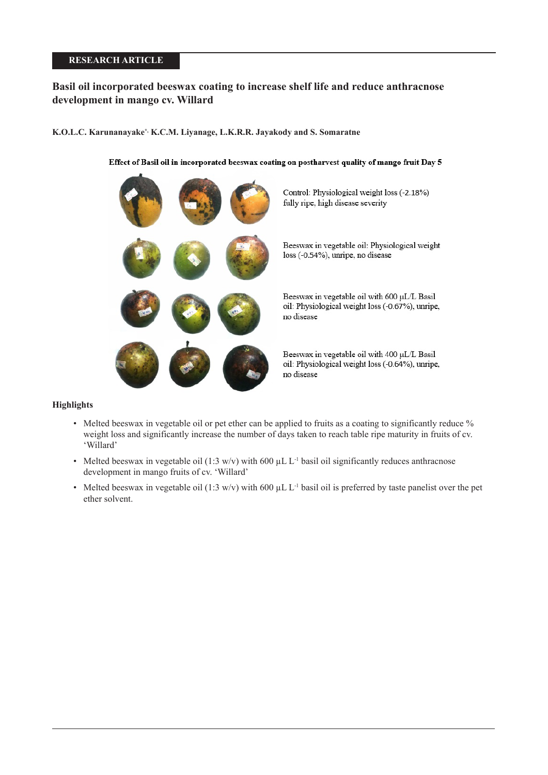# **RESEARCH ARTICLE**

# **Basil oil incorporated beeswax coating to increase shelf life and reduce anthracnose development in mango cv. Willard**

# **K.O.L.C. Karunanayake\*, K.C.M. Liyanage, L.K.R.R. Jayakody and S. Somaratne**

# Effect of Basil oil in incorporated beeswax coating on postharvest quality of mango fruit Day 5



#### **Highlights**

- Melted beeswax in vegetable oil or pet ether can be applied to fruits as a coating to significantly reduce % weight loss and significantly increase the number of days taken to reach table ripe maturity in fruits of cv. 'Willard'
- Melted beeswax in vegetable oil (1:3 w/v) with 600  $\mu$ L L<sup>-1</sup> basil oil significantly reduces anthracnose development in mango fruits of cv. 'Willard'
- Melted beeswax in vegetable oil (1:3 w/v) with 600  $\mu$ L L<sup>-1</sup> basil oil is preferred by taste panelist over the pet ether solvent.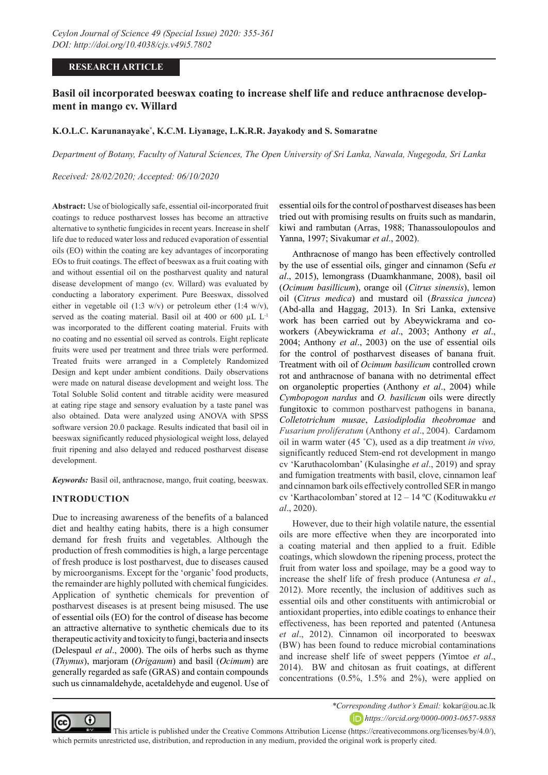# **RESEARCH ARTICLE**

# **Basil oil incorporated beeswax coating to increase shelf life and reduce anthracnose development in mango cv. Willard**

#### **K.O.L.C. Karunanayake\* , K.C.M. Liyanage, L.K.R.R. Jayakody and S. Somaratne**

*Department of Botany, Faculty of Natural Sciences, The Open University of Sri Lanka, Nawala, Nugegoda, Sri Lanka*

*Received: 28/02/2020; Accepted: 06/10/2020*

**Abstract:** Use of biologically safe, essential oil-incorporated fruit coatings to reduce postharvest losses has become an attractive alternative to synthetic fungicides in recent years. Increase in shelf life due to reduced water loss and reduced evaporation of essential oils (EO) within the coating are key advantages of incorporating EOs to fruit coatings. The effect of beeswax as a fruit coating with and without essential oil on the postharvest quality and natural disease development of mango (cv. Willard) was evaluated by conducting a laboratory experiment. Pure Beeswax, dissolved either in vegetable oil (1:3 w/v) or petroleum ether (1:4 w/v), served as the coating material. Basil oil at 400 or 600 µL L<sup>-1</sup> was incorporated to the different coating material. Fruits with no coating and no essential oil served as controls. Eight replicate fruits were used per treatment and three trials were performed. Treated fruits were arranged in a Completely Randomized Design and kept under ambient conditions. Daily observations were made on natural disease development and weight loss. The Total Soluble Solid content and titrable acidity were measured at eating ripe stage and sensory evaluation by a taste panel was also obtained. Data were analyzed using ANOVA with SPSS software version 20.0 package. Results indicated that basil oil in beeswax significantly reduced physiological weight loss, delayed fruit ripening and also delayed and reduced postharvest disease development.

*Keywords:* Basil oil, anthracnose, mango, fruit coating, beeswax.

# **INTRODUCTION**

Due to increasing awareness of the benefits of a balanced diet and healthy eating habits, there is a high consumer demand for fresh fruits and vegetables. Although the production of fresh commodities is high, a large percentage of fresh produce is lost postharvest, due to diseases caused by microorganisms. Except for the 'organic' food products, the remainder are highly polluted with chemical fungicides. Application of synthetic chemicals for prevention of postharvest diseases is at present being misused. The use of essential oils (EO) for the control of disease has become an attractive alternative to synthetic chemicals due to its therapeutic activity and toxicity to fungi, bacteria and insects (Delespaul *et al*., 2000). The oils of herbs such as thyme (*Thymus*), marjoram (*Origanum*) and basil (*Ocimum*) are generally regarded as safe (GRAS) and contain compounds such us cinnamaldehyde, acetaldehyde and eugenol. Use of essential oils for the control of postharvest diseases has been tried out with promising results on fruits such as mandarin, kiwi and rambutan (Arras, 1988; Thanassoulopoulos and Yanna, 1997; Sivakumar *et al*., 2002).

Anthracnose of mango has been effectively controlled by the use of essential oils, ginger and cinnamon (Sefu *et al*., 2015), lemongrass (Duamkhanmane, 2008), basil oil (*Ocimum basillicum*), orange oil (*Citrus sinensis*), lemon oil (*Citrus medica*) and mustard oil (*Brassica juncea*) (Abd-alla and Haggag, 2013). In Sri Lanka, extensive work has been carried out by Abeywickrama and coworkers (Abeywickrama *et al*., 2003; Anthony *et al*., 2004; Anthony *et al*., 2003) on the use of essential oils for the control of postharvest diseases of banana fruit. Treatment with oil of *Ocimum basilicum* controlled crown rot and anthracnose of banana with no detrimental effect on organoleptic properties (Anthony *et al*., 2004) while *Cymbopogon nardus* and *O. basilicum* oils were directly fungitoxic to common postharvest pathogens in banana, *Colletotrichum musae*, *Lasiodiplodia theobromae* and *Fusarium proliferatum* (Anthony *et al*., 2004). Cardamom oil in warm water (45 ˚C), used as a dip treatment *in vivo,* significantly reduced Stem-end rot development in mango cv 'Karuthacolomban' (Kulasinghe *et al*., 2019) and spray and fumigation treatments with basil, clove, cinnamon leaf and cinnamon bark oils effectively controlled SER in mango cv 'Karthacolomban' stored at 12 – 14 ºC (Kodituwakku *et al*., 2020).

However, due to their high volatile nature, the essential oils are more effective when they are incorporated into a coating material and then applied to a fruit. Edible coatings, which slowdown the ripening process, protect the fruit from water loss and spoilage, may be a good way to increase the shelf life of fresh produce (Antunesa *et al*., 2012). More recently, the inclusion of additives such as essential oils and other constituents with antimicrobial or antioxidant properties, into edible coatings to enhance their effectiveness, has been reported and patented (Antunesa *et al*., 2012). Cinnamon oil incorporated to beeswax (BW) has been found to reduce microbial contaminations and increase shelf life of sweet peppers (Yimtoe *et al*., 2014). BW and chitosan as fruit coatings, at different concentrations (0.5%, 1.5% and 2%), were applied on



*\*Corresponding Author's Email:* kokar@ou.ac.lk *https://orcid.org/0000-0003-0657-9888*

 This article is published under the Creative Commons Attribution License (https://creativecommons.org/licenses/by/4.0/), which permits unrestricted use, distribution, and reproduction in any medium, provided the original work is properly cited.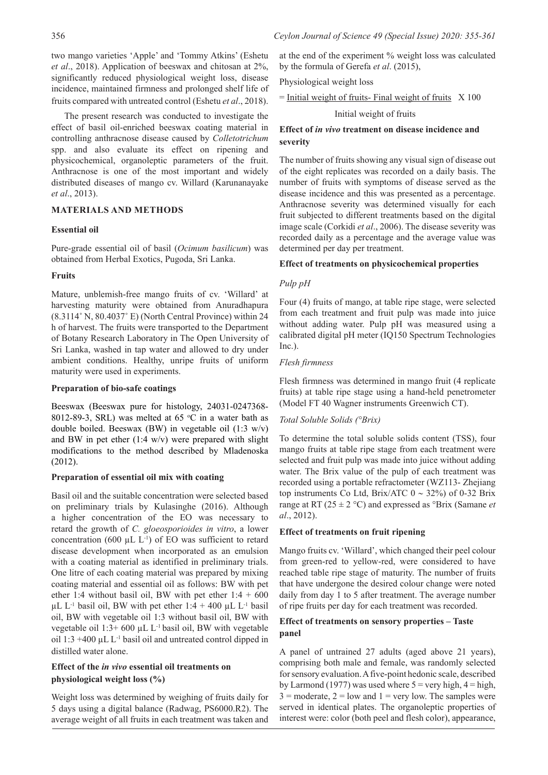The present research was conducted to investigate the effect of basil oil-enriched beeswax coating material in controlling anthracnose disease caused by *Colletotrichum*  spp. and also evaluate its effect on ripening and physicochemical, organoleptic parameters of the fruit. Anthracnose is one of the most important and widely distributed diseases of mango cv. Willard (Karunanayake *et al*., 2013).

# **MATERIALS AND METHODS**

# **Essential oil**

Pure-grade essential oil of basil (*Ocimum basilicum*) was obtained from Herbal Exotics, Pugoda, Sri Lanka.

# **Fruits**

Mature, unblemish-free mango fruits of cv. 'Willard' at harvesting maturity were obtained from Anuradhapura (8.3114˚ N, 80.4037˚ E) (North Central Province) within 24 h of harvest. The fruits were transported to the Department of Botany Research Laboratory in The Open University of Sri Lanka, washed in tap water and allowed to dry under ambient conditions. Healthy, unripe fruits of uniform maturity were used in experiments.

#### **Preparation of bio-safe coatings**

Beeswax (Beeswax pure for histology, 24031-0247368- 8012-89-3, SRL) was melted at 65  $\degree$ C in a water bath as double boiled. Beeswax (BW) in vegetable oil (1:3 w/v) and BW in pet ether  $(1:4 \text{ w/v})$  were prepared with slight modifications to the method described by Mladenoska (2012).

#### **Preparation of essential oil mix with coating**

Basil oil and the suitable concentration were selected based on preliminary trials by Kulasinghe (2016). Although a higher concentration of the EO was necessary to retard the growth of *C. gloeosporioides in vitro*, a lower concentration (600  $\mu$ L L<sup>-1</sup>) of EO was sufficient to retard disease development when incorporated as an emulsion with a coating material as identified in preliminary trials. One litre of each coating material was prepared by mixing coating material and essential oil as follows: BW with pet ether 1:4 without basil oil, BW with pet ether  $1:4 + 600$  $\mu$ L L<sup>-1</sup> basil oil, BW with pet ether 1:4 + 400  $\mu$ L L<sup>-1</sup> basil oil, BW with vegetable oil 1:3 without basil oil, BW with vegetable oil 1:3+ 600 µL L-1 basil oil, BW with vegetable oil 1:3 +400 µL L-1 basil oil and untreated control dipped in distilled water alone.

# **Effect of the** *in vivo* **essential oil treatments on physiological weight loss (%)**

Weight loss was determined by weighing of fruits daily for 5 days using a digital balance (Radwag, PS6000.R2). The average weight of all fruits in each treatment was taken and

at the end of the experiment % weight loss was calculated by the formula of Gerefa *et al*. (2015),

Physiological weight loss

 $=$  Initial weight of fruits- Final weight of fruits  $X$  100

Initial weight of fruits

# **Effect of** *in vivo* **treatment on disease incidence and severity**

The number of fruits showing any visual sign of disease out of the eight replicates was recorded on a daily basis. The number of fruits with symptoms of disease served as the disease incidence and this was presented as a percentage. Anthracnose severity was determined visually for each fruit subjected to different treatments based on the digital image scale (Corkidi *et al*., 2006). The disease severity was recorded daily as a percentage and the average value was determined per day per treatment.

# **Effect of treatments on physicochemical properties**

# *Pulp pH*

Four (4) fruits of mango, at table ripe stage, were selected from each treatment and fruit pulp was made into juice without adding water. Pulp pH was measured using a calibrated digital pH meter (IQ150 Spectrum Technologies Inc.).

#### *Flesh firmness*

Flesh firmness was determined in mango fruit (4 replicate fruits) at table ripe stage using a hand-held penetrometer (Model FT 40 Wagner instruments Greenwich CT).

#### *Total Soluble Solids (°Brix)*

To determine the total soluble solids content (TSS), four mango fruits at table ripe stage from each treatment were selected and fruit pulp was made into juice without adding water. The Brix value of the pulp of each treatment was recorded using a portable refractometer (WZ113- Zhejiang top instruments Co Ltd, Brix/ATC  $0 \sim 32\%$ ) of 0-32 Brix range at RT ( $25 \pm 2$  °C) and expressed as °Brix (Samane *et al*., 2012).

#### **Effect of treatments on fruit ripening**

Mango fruits cv. 'Willard', which changed their peel colour from green-red to yellow-red, were considered to have reached table ripe stage of maturity. The number of fruits that have undergone the desired colour change were noted daily from day 1 to 5 after treatment. The average number of ripe fruits per day for each treatment was recorded.

# **Effect of treatments on sensory properties – Taste panel**

A panel of untrained 27 adults (aged above 21 years), comprising both male and female, was randomly selected for sensory evaluation. A five-point hedonic scale, described by Larmond (1977) was used where  $5 = \text{very high}, 4 = \text{high},$  $3 =$  moderate,  $2 =$  low and  $1 =$  very low. The samples were served in identical plates. The organoleptic properties of interest were: color (both peel and flesh color), appearance,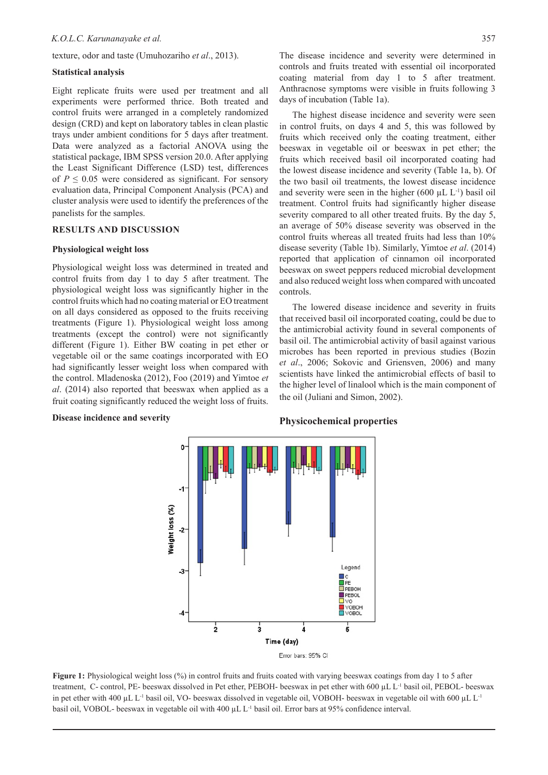texture, odor and taste (Umuhozariho *et al*., 2013).

## **Statistical analysis**

Eight replicate fruits were used per treatment and all experiments were performed thrice. Both treated and control fruits were arranged in a completely randomized design (CRD) and kept on laboratory tables in clean plastic trays under ambient conditions for 5 days after treatment. Data were analyzed as a factorial ANOVA using the statistical package, IBM SPSS version 20.0. After applying the Least Significant Difference (LSD) test, differences of  $P \leq 0.05$  were considered as significant. For sensory evaluation data, Principal Component Analysis (PCA) and cluster analysis were used to identify the preferences of the panelists for the samples.

# **RESULTS AND DISCUSSION**

#### **Physiological weight loss**

Physiological weight loss was determined in treated and control fruits from day 1 to day 5 after treatment. The physiological weight loss was significantly higher in the control fruits which had no coating material or EO treatment on all days considered as opposed to the fruits receiving treatments (Figure 1). Physiological weight loss among treatments (except the control) were not significantly different (Figure 1). Either BW coating in pet ether or vegetable oil or the same coatings incorporated with EO had significantly lesser weight loss when compared with the control. Mladenoska (2012), Foo (2019) and Yimtoe *et al*. (2014) also reported that beeswax when applied as a fruit coating significantly reduced the weight loss of fruits.

### **Disease incidence and severity**

The disease incidence and severity were determined in controls and fruits treated with essential oil incorporated coating material from day 1 to 5 after treatment. Anthracnose symptoms were visible in fruits following 3 days of incubation (Table 1a).

The highest disease incidence and severity were seen in control fruits, on days 4 and 5, this was followed by fruits which received only the coating treatment, either beeswax in vegetable oil or beeswax in pet ether; the fruits which received basil oil incorporated coating had the lowest disease incidence and severity (Table 1a, b). Of the two basil oil treatments, the lowest disease incidence and severity were seen in the higher  $(600 \mu L L^{-1})$  basil oil treatment. Control fruits had significantly higher disease severity compared to all other treated fruits. By the day 5, an average of 50% disease severity was observed in the control fruits whereas all treated fruits had less than 10% disease severity (Table 1b). Similarly, Yimtoe *et al*. (2014) reported that application of cinnamon oil incorporated beeswax on sweet peppers reduced microbial development and also reduced weight loss when compared with uncoated controls.

The lowered disease incidence and severity in fruits that received basil oil incorporated coating, could be due to the antimicrobial activity found in several components of basil oil. The antimicrobial activity of basil against various microbes has been reported in previous studies (Bozin *et al*., 2006; Sokovic and Griensven, 2006) and many scientists have linked the antimicrobial effects of basil to the higher level of linalool which is the main component of the oil (Juliani and Simon, 2002).



**Figure 1:** Physiological weight loss (%) in control fruits and fruits coated with varying beeswax coatings from day 1 to 5 after treatment, C- control, PE- beeswax dissolved in Pet ether, PEBOH- beeswax in pet ether with 600 µL L-1 basil oil, PEBOL- beeswax in pet ether with 400 µL L<sup>-1</sup> basil oil, VO- beeswax dissolved in vegetable oil, VOBOH- beeswax in vegetable oil with 600 µL L<sup>-1</sup> basil oil, VOBOL- beeswax in vegetable oil with 400 µL L-1 basil oil. Error bars at 95% confidence interval.

#### **Physicochemical properties**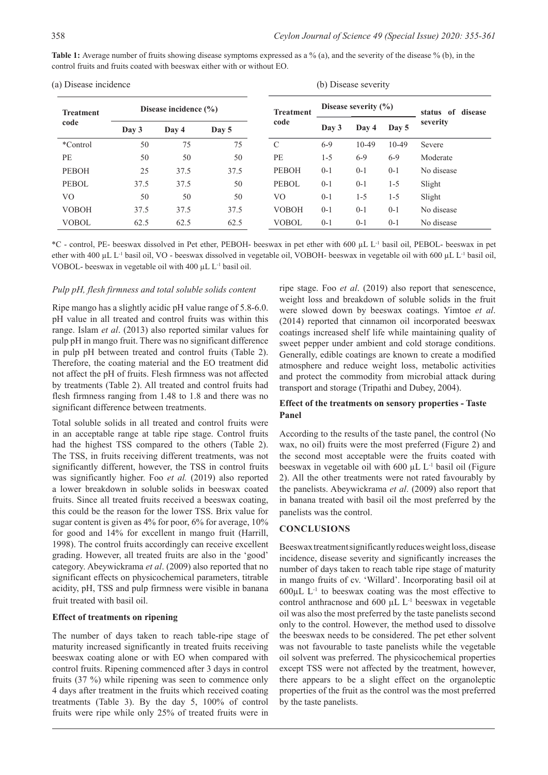Table 1: Average number of fruits showing disease symptoms expressed as a % (a), and the severity of the disease % (b), in the control fruits and fruits coated with beeswax either with or without EO.

| (a) Disease incidence    |                           |       |       | (b) Disease severity |                          |         |         |                   |
|--------------------------|---------------------------|-------|-------|----------------------|--------------------------|---------|---------|-------------------|
| <b>Treatment</b><br>code | Disease incidence $(\% )$ |       |       | <b>Treatment</b>     | Disease severity $(\% )$ |         |         | status of disease |
|                          | Day 3                     | Day 4 | Day 5 | code                 | Day 3                    | Day 4   | Day 5   | severity          |
| *Control                 | 50                        | 75    | 75    | $\mathcal{C}$        | $6-9$                    | $10-49$ | $10-49$ | Severe            |
| PE                       | 50                        | 50    | 50    | PE                   | $1 - 5$                  | $6-9$   | $6-9$   | Moderate          |
| <b>PEBOH</b>             | 25                        | 37.5  | 37.5  | <b>PEBOH</b>         | $0 - 1$                  | $0 - 1$ | $0 - 1$ | No disease        |
| <b>PEBOL</b>             | 37.5                      | 37.5  | 50    | PEBOL                | $0 - 1$                  | $0-1$   | $1 - 5$ | Slight            |
| VO                       | 50                        | 50    | 50    | VO                   | $0 - 1$                  | $1 - 5$ | $1 - 5$ | Slight            |
| <b>VOBOH</b>             | 37.5                      | 37.5  | 37.5  | <b>VOBOH</b>         | $0 - 1$                  | $0 - 1$ | $0 - 1$ | No disease        |
| <b>VOBOL</b>             | 62.5                      | 62.5  | 62.5  | <b>VOBOL</b>         | $0 - 1$                  | $0 - 1$ | $0 - 1$ | No disease        |

\*C - control, PE- beeswax dissolved in Pet ether, PEBOH- beeswax in pet ether with 600 µL L-1 basil oil, PEBOL- beeswax in pet ether with 400 µL L-1 basil oil, VO - beeswax dissolved in vegetable oil, VOBOH- beeswax in vegetable oil with 600 µL L-1 basil oil, VOBOL- beeswax in vegetable oil with 400 µL L-1 basil oil.

#### *Pulp pH, flesh firmness and total soluble solids content*

Ripe mango has a slightly acidic pH value range of 5.8-6.0. pH value in all treated and control fruits was within this range. Islam *et al*. (2013) also reported similar values for pulp pH in mango fruit. There was no significant difference in pulp pH between treated and control fruits (Table 2). Therefore, the coating material and the EO treatment did not affect the pH of fruits. Flesh firmness was not affected by treatments (Table 2). All treated and control fruits had flesh firmness ranging from 1.48 to 1.8 and there was no significant difference between treatments.

Total soluble solids in all treated and control fruits were in an acceptable range at table ripe stage. Control fruits had the highest TSS compared to the others (Table 2). The TSS, in fruits receiving different treatments, was not significantly different, however, the TSS in control fruits was significantly higher. Foo *et al.* (2019) also reported a lower breakdown in soluble solids in beeswax coated fruits. Since all treated fruits received a beeswax coating, this could be the reason for the lower TSS. Brix value for sugar content is given as 4% for poor, 6% for average, 10% for good and 14% for excellent in mango fruit (Harrill, 1998). The control fruits accordingly can receive excellent grading. However, all treated fruits are also in the 'good' category. Abeywickrama *et al*. (2009) also reported that no significant effects on physicochemical parameters, titrable acidity, pH, TSS and pulp firmness were visible in banana fruit treated with basil oil.

# **Effect of treatments on ripening**

The number of days taken to reach table-ripe stage of maturity increased significantly in treated fruits receiving beeswax coating alone or with EO when compared with control fruits. Ripening commenced after 3 days in control fruits (37 %) while ripening was seen to commence only 4 days after treatment in the fruits which received coating treatments (Table 3). By the day 5, 100% of control fruits were ripe while only 25% of treated fruits were in

ripe stage. Foo *et al*. (2019) also report that senescence, weight loss and breakdown of soluble solids in the fruit were slowed down by beeswax coatings. Yimtoe *et al*. (2014) reported that cinnamon oil incorporated beeswax coatings increased shelf life while maintaining quality of sweet pepper under ambient and cold storage conditions. Generally, edible coatings are known to create a modified atmosphere and reduce weight loss, metabolic activities and protect the commodity from microbial attack during transport and storage (Tripathi and Dubey, 2004).

# **Effect of the treatments on sensory properties - Taste Panel**

According to the results of the taste panel, the control (No wax, no oil) fruits were the most preferred (Figure 2) and the second most acceptable were the fruits coated with beeswax in vegetable oil with  $600 \mu L L^{-1}$  basil oil (Figure 2). All the other treatments were not rated favourably by the panelists. Abeywickrama *et al*. (2009) also report that in banana treated with basil oil the most preferred by the panelists was the control.

#### **CONCLUSIONS**

Beeswax treatment significantly reduces weight loss, disease incidence, disease severity and significantly increases the number of days taken to reach table ripe stage of maturity in mango fruits of cv. 'Willard'. Incorporating basil oil at  $600\mu L$  L<sup>-1</sup> to beeswax coating was the most effective to control anthracnose and  $600 \mu L L^{-1}$  beeswax in vegetable oil was also the most preferred by the taste panelists second only to the control. However, the method used to dissolve the beeswax needs to be considered. The pet ether solvent was not favourable to taste panelists while the vegetable oil solvent was preferred. The physicochemical properties except TSS were not affected by the treatment, however, there appears to be a slight effect on the organoleptic properties of the fruit as the control was the most preferred by the taste panelists.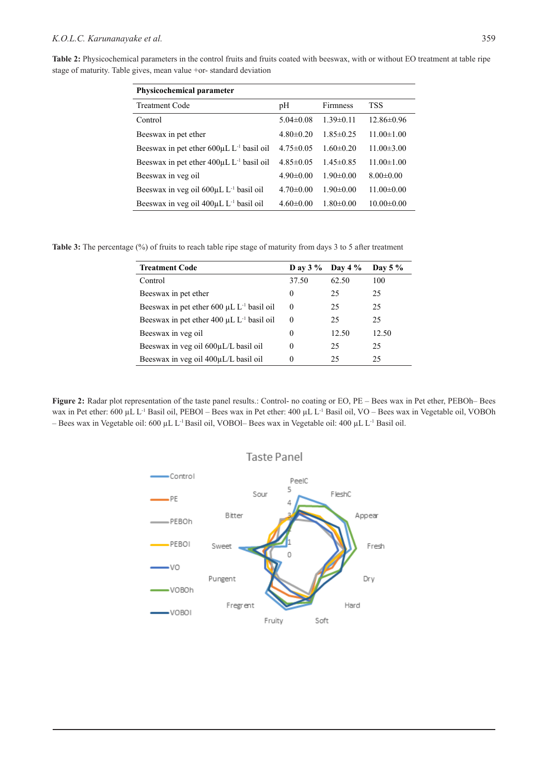**Table 2:** Physicochemical parameters in the control fruits and fruits coated with beeswax, with or without EO treatment at table ripe stage of maturity. Table gives, mean value +or- standard deviation

| <b>Physicochemical parameter</b>                  |                 |                 |                  |  |  |  |  |  |
|---------------------------------------------------|-----------------|-----------------|------------------|--|--|--|--|--|
| <b>Treatment Code</b>                             | pH              | <b>Firmness</b> | <b>TSS</b>       |  |  |  |  |  |
| Control                                           | $5.04 \pm 0.08$ | $1.39 \pm 0.11$ | $12.86 \pm 0.96$ |  |  |  |  |  |
| Beeswax in pet ether                              | $4.80 \pm 0.20$ | $1.85 \pm 0.25$ | $11.00 \pm 1.00$ |  |  |  |  |  |
| Beeswax in pet ether $600 \mu L L^{-1}$ basil oil | $4.75 \pm 0.05$ | $1.60 \pm 0.20$ | $11.00 \pm 3.00$ |  |  |  |  |  |
| Beeswax in pet ether $400\mu L L^{-1}$ basil oil  | $4.85 \pm 0.05$ | $1.45 \pm 0.85$ | $11.00 \pm 1.00$ |  |  |  |  |  |
| Beeswax in veg oil                                | $4.90 \pm 0.00$ | $1.90 \pm 0.00$ | $8.00 \pm 0.00$  |  |  |  |  |  |
| Beeswax in veg oil $600 \mu L L^{-1}$ basil oil   | $4.70 \pm 0.00$ | $1.90 \pm 0.00$ | $11.00 \pm 0.00$ |  |  |  |  |  |
| Beeswax in veg oil $400 \mu L L^{-1}$ basil oil   | $4.60 \pm 0.00$ | $1.80 \pm 0.00$ | $10.00 \pm 0.00$ |  |  |  |  |  |

**Table 3:** The percentage (%) of fruits to reach table ripe stage of maturity from days 3 to 5 after treatment

| <b>Treatment Code</b>                             | D av $3\%$ | Day 4 $\%$ | Day 5 $%$ |
|---------------------------------------------------|------------|------------|-----------|
| Control                                           | 37.50      | 62.50      | 100       |
| Beeswax in pet ether                              | 0          | 25         | 25        |
| Beeswax in pet ether $600 \mu L L^{-1}$ basil oil | $\theta$   | 25         | 25        |
| Beeswax in pet ether $400 \mu L L^{-1}$ basil oil | $\Omega$   | 25         | 25        |
| Beeswax in veg oil                                | 0          | 12.50      | 12.50     |
| Beeswax in veg oil 600µL/L basil oil              | 0          | 25         | 25        |
| Beeswax in veg oil 400µL/L basil oil              | 0          | 25         | 25        |

**Figure 2:** Radar plot representation of the taste panel results.: Control- no coating or EO, PE – Bees wax in Pet ether, PEBOh– Bees wax in Pet ether: 600 µL L<sup>-1</sup> Basil oil, PEBOl – Bees wax in Pet ether: 400 µL L<sup>-1</sup> Basil oil, VO – Bees wax in Vegetable oil, VOBOh – Bees wax in Vegetable oil: 600 µL L<sup>-1</sup> Basil oil, VOBOl– Bees wax in Vegetable oil: 400 µL L<sup>-1</sup> Basil oil.

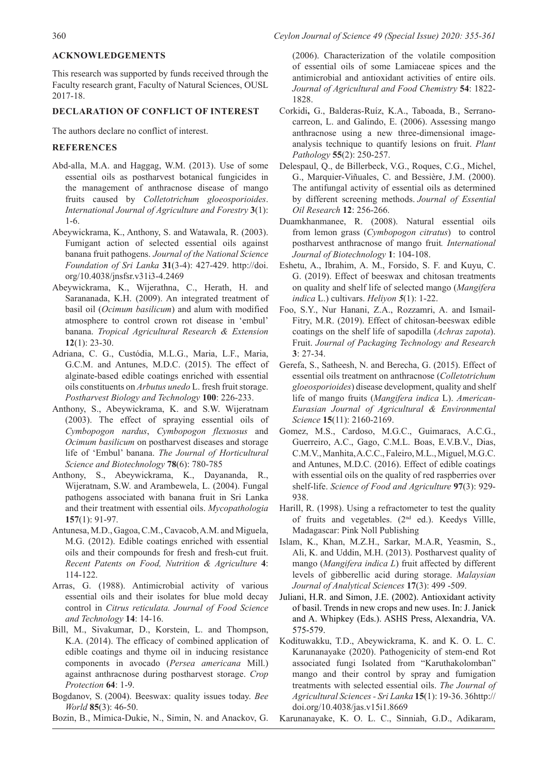# **ACKNOWLEDGEMENTS**

This research was supported by funds received through the Faculty research grant, Faculty of Natural Sciences, OUSL 2017-18.

#### **DECLARATION OF CONFLICT OF INTEREST**

The authors declare no conflict of interest.

# **REFERENCES**

- Abd-alla, M.A. and Haggag, W.M. (2013). Use of some essential oils as postharvest botanical fungicides in the management of anthracnose disease of mango fruits caused by *Colletotrichum gloeosporioides*. *International Journal of Agriculture and Forestry* **3**(1): 1-6.
- Abeywickrama, K., Anthony, S. and Watawala, R. (2003). Fumigant action of selected essential oils against banana fruit pathogens. *Journal of the National Science Foundation of Sri Lanka* **31**(3-4): 427-429. http://doi. org/10.4038/jnsfsr.v31i3-4.2469
- Abeywickrama, K., Wijerathna, C., Herath, H. and Sarananada, K.H. (2009). An integrated treatment of basil oil (*Ocimum basilicum*) and alum with modified atmosphere to control crown rot disease in 'embul' banana. *Tropical Agricultural Research & Extension* **12**(1): 23-30.
- Adriana, C. G., Custódia, M.L.G., Maria, L.F., Maria, G.C.M. and Antunes, M.D.C. (2015). The effect of alginate-based edible coatings enriched with essential oils constituents on *Arbutus unedo* L. fresh fruit storage. *Postharvest Biology and Technology* **100**: 226-233.
- Anthony, S., Abeywickrama, K. and S.W. Wijeratnam (2003). The effect of spraying essential oils of *Cymbopogon nardus*, *Cymbopogon flexuosus* and *Ocimum basilicum* on postharvest diseases and storage life of 'Embul' banana. *The Journal of Horticultural Science and Biotechnology* **78**(6): 780-785
- Anthony, S., Abeywickrama, K., Dayananda, R., Wijeratnam, S.W. and Arambewela, L. (2004). Fungal pathogens associated with banana fruit in Sri Lanka and their treatment with essential oils. *Mycopathologia*  **157**(1): 91-97.
- Antunesa, M.D., Gagoa, C.M., Cavacob, A.M. and Miguela, M.G. (2012). Edible coatings enriched with essential oils and their compounds for fresh and fresh-cut fruit. *Recent Patents on Food, Nutrition & Agriculture* **4**: 114-122.
- Arras, G. (1988). Antimicrobial activity of various essential oils and their isolates for blue mold decay control in *Citrus reticulata. Journal of Food Science and Technology* **14**: 14-16.
- Bill, M., Sivakumar, D., Korstein, L. and Thompson, K.A. (2014). The efficacy of combined application of edible coatings and thyme oil in inducing resistance components in avocado (*Persea americana* Mill.) against anthracnose during postharvest storage. *Crop Protection* **64**: 1-9.
- Bogdanov, S. (2004). Beeswax: quality issues today. *Bee World* **85**(3): 46-50.
- Bozin, B., Mimica-Dukie, N., Simin, N. and Anackov, G.

(2006). Characterization of the volatile composition of essential oils of some Lamiaceae spices and the antimicrobial and antioxidant activities of entire oils. *Journal of Agricultural and Food Chemistry* **54**: 1822- 1828.

- Corkidi**,** G., Balderas-Ruíz, K.A., Taboada, B., Serranocarreon, L. and Galindo, E. (2006). Assessing mango anthracnose using a new three-dimensional imageanalysis technique to quantify lesions on fruit. *Plant Pathology* **55**(2): 250-257.
- Delespaul, Q., de Billerbeck, V.G., Roques, C.G., Michel, G., Marquier-Viñuales, C. and Bessière, J.M. (2000). The antifungal activity of essential oils as determined by different screening methods. *Journal of Essential Oil Research* **12**: 256-266.
- Duamkhanmanee, R. (2008). Natural essential oils from lemon grass (*Cymbopogon citratus*) to control postharvest anthracnose of mango fruit*. International Journal of Biotechnology* **1**: 104-108.
- Eshetu, A., Ibrahim, A. M., Forsido, S. F. and Kuyu, C. G. (2019). Effect of beeswax and chitosan treatments on quality and shelf life of selected mango (*Mangifera indica* L.) cultivars. *Heliyon 5*(1): 1-22.
- Foo, S.Y., Nur Hanani, Z.A., Rozzamri, A. and Ismail-Fitry, M.R. (2019). Effect of chitosan-beeswax edible coatings on the shelf life of sapodilla (*Achras zapota*). Fruit. *Journal of Packaging Technology and Research*  **3**: 27-34.
- Gerefa, S., Satheesh, N. and Berecha, G. (2015). Effect of essential oils treatment on anthracnose (*Colletotrichum gloeosporioides*) disease development, quality and shelf life of mango fruits (*Mangifera indica* L). *American-Eurasian Journal of Agricultural & Environmental Science* **15**(11): 2160-2169.
- Gomez, M.S., Cardoso, M.G.C., Guimaracs, A.C.G., Guerreiro, A.C., Gago, C.M.L. Boas, E.V.B.V., Dias, C.M.V., Manhita, A.C.C., Faleiro, M.L., Miguel, M.G.C. and Antunes, M.D.C. (2016). Effect of edible coatings with essential oils on the quality of red raspberries over shelf-life. *Science of Food and Agriculture* **97**(3): 929- 938.
- Harill, R. (1998). Using a refractometer to test the quality of fruits and vegetables. (2nd ed.). Keedys Villle, Madagascar: Pink Noll Publishing
- Islam, K., Khan, M.Z.H., Sarkar, M.A.R, Yeasmin, S., Ali, K. and Uddin, M.H. (2013). Postharvest quality of mango (*Mangifera indica L*) fruit affected by different levels of gibberellic acid during storage. *Malaysian Journal of Analytical Sciences* **17**(3): 499 -509.
- Juliani, H.R. and Simon, J.E. (2002). Antioxidant activity of basil. Trends in new crops and new uses. In: J. Janick and A. Whipkey (Eds.). ASHS Press, Alexandria, VA. 575-579.
- Kodituwakku, T.D., Abeywickrama, K. and K. O. L. C. Karunanayake (2020). Pathogenicity of stem-end Rot associated fungi Isolated from "Karuthakolomban" mango and their control by spray and fumigation treatments with selected essential oils. *The Journal of Agricultural Sciences - Sri Lanka* **15**(1): 19-36. 36http:// doi.org/10.4038/jas.v15i1.8669
- Karunanayake, K. O. L. C., Sinniah, G.D., Adikaram,